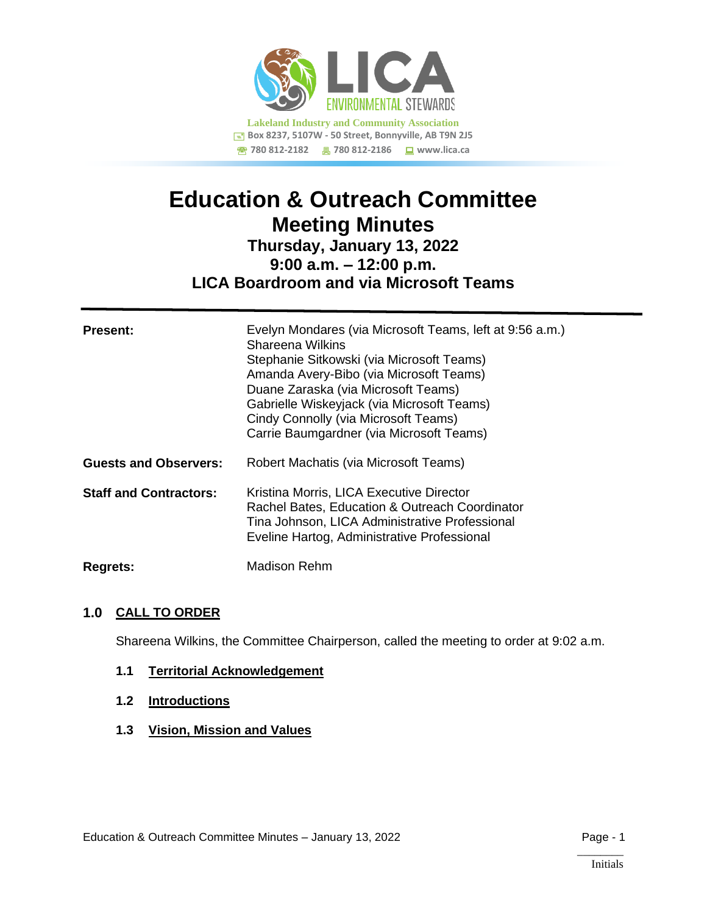

# **Education & Outreach Committee Meeting Minutes**

# **Thursday, January 13, 2022 9:00 a.m. – 12:00 p.m. LICA Boardroom and via Microsoft Teams**

| <b>Present:</b>               | Evelyn Mondares (via Microsoft Teams, left at 9:56 a.m.)<br>Shareena Wilkins<br>Stephanie Sitkowski (via Microsoft Teams)<br>Amanda Avery-Bibo (via Microsoft Teams)<br>Duane Zaraska (via Microsoft Teams)<br>Gabrielle Wiskeyjack (via Microsoft Teams)<br>Cindy Connolly (via Microsoft Teams)<br>Carrie Baumgardner (via Microsoft Teams) |
|-------------------------------|-----------------------------------------------------------------------------------------------------------------------------------------------------------------------------------------------------------------------------------------------------------------------------------------------------------------------------------------------|
| <b>Guests and Observers:</b>  | Robert Machatis (via Microsoft Teams)                                                                                                                                                                                                                                                                                                         |
| <b>Staff and Contractors:</b> | Kristina Morris, LICA Executive Director<br>Rachel Bates, Education & Outreach Coordinator<br>Tina Johnson, LICA Administrative Professional<br>Eveline Hartog, Administrative Professional                                                                                                                                                   |
| <b>Regrets:</b>               | Madison Rehm                                                                                                                                                                                                                                                                                                                                  |

# **1.0 CALL TO ORDER**

Shareena Wilkins, the Committee Chairperson, called the meeting to order at 9:02 a.m.

#### **1.1 Territorial Acknowledgement**

- **1.2 Introductions**
- **1.3 Vision, Mission and Values**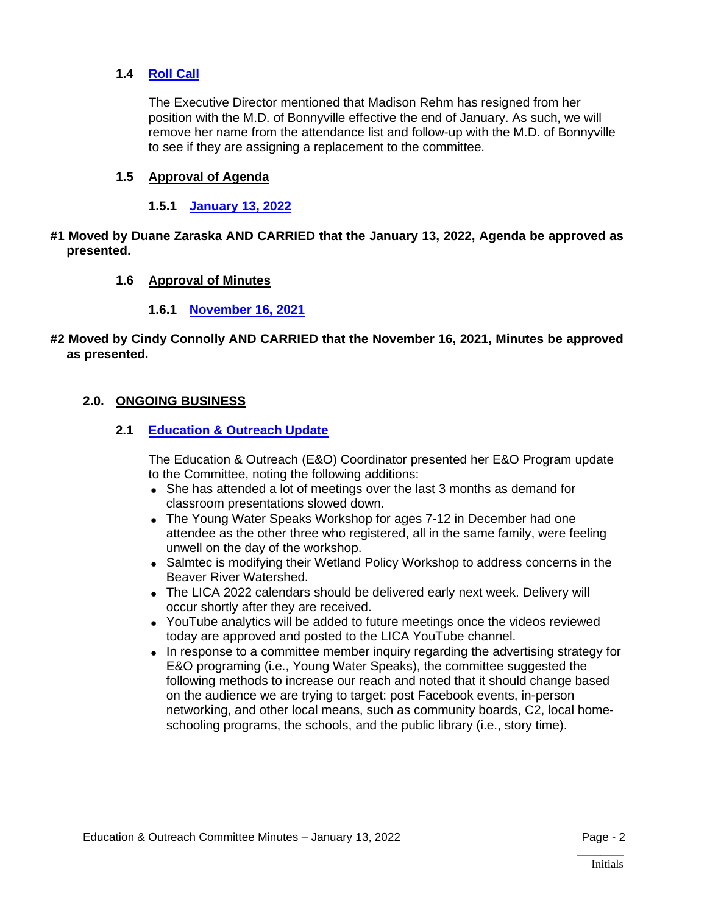#### **1.4 [Roll Call](https://lica2.sharepoint.com/:b:/s/Office/EccS5AsHIO1Jg0cKBD-OJjoBXI-BqfSqi5RLU3-JXIbeUw?e=rBy0lX)**

The Executive Director mentioned that Madison Rehm has resigned from her position with the M.D. of Bonnyville effective the end of January. As such, we will remove her name from the attendance list and follow-up with the M.D. of Bonnyville to see if they are assigning a replacement to the committee.

#### **1.5 Approval of Agenda**

#### **1.5.1 [January 13, 2022](https://lica2.sharepoint.com/:b:/s/Office/ESPbYsh6ZMBEmpMPmC91BqsBgWWMySKPZruZSk4OQvoUyA?e=KxsHMy)**

#### **#1 Moved by Duane Zaraska AND CARRIED that the January 13, 2022, Agenda be approved as presented.**

#### **1.6 Approval of Minutes**

#### **1.6.1 [November 16, 2021](https://lica2.sharepoint.com/:b:/s/Office/EZVVM41qMvBHlV-88WVUawwBOGzRub-P3EFsfg81ez72Jg?e=nOgzbS)**

#### **#2 Moved by Cindy Connolly AND CARRIED that the November 16, 2021, Minutes be approved as presented.**

#### **2.0. ONGOING BUSINESS**

#### **2.1 [Education & Outreach Update](https://lica2.sharepoint.com/:b:/s/Office/EdT5Cm8k4rFLjxcaFFlRNjcB78OawAvHcTL1IMIBi9jigw?e=QGQDAy)**

The Education & Outreach (E&O) Coordinator presented her E&O Program update to the Committee, noting the following additions:

- She has attended a lot of meetings over the last 3 months as demand for classroom presentations slowed down.
- The Young Water Speaks Workshop for ages 7-12 in December had one attendee as the other three who registered, all in the same family, were feeling unwell on the day of the workshop.
- Salmtec is modifying their Wetland Policy Workshop to address concerns in the Beaver River Watershed.
- The LICA 2022 calendars should be delivered early next week. Delivery will occur shortly after they are received.
- YouTube analytics will be added to future meetings once the videos reviewed today are approved and posted to the LICA YouTube channel.
- In response to a committee member inquiry regarding the advertising strategy for E&O programing (i.e., Young Water Speaks), the committee suggested the following methods to increase our reach and noted that it should change based on the audience we are trying to target: post Facebook events, in-person networking, and other local means, such as community boards, C2, local homeschooling programs, the schools, and the public library (i.e., story time).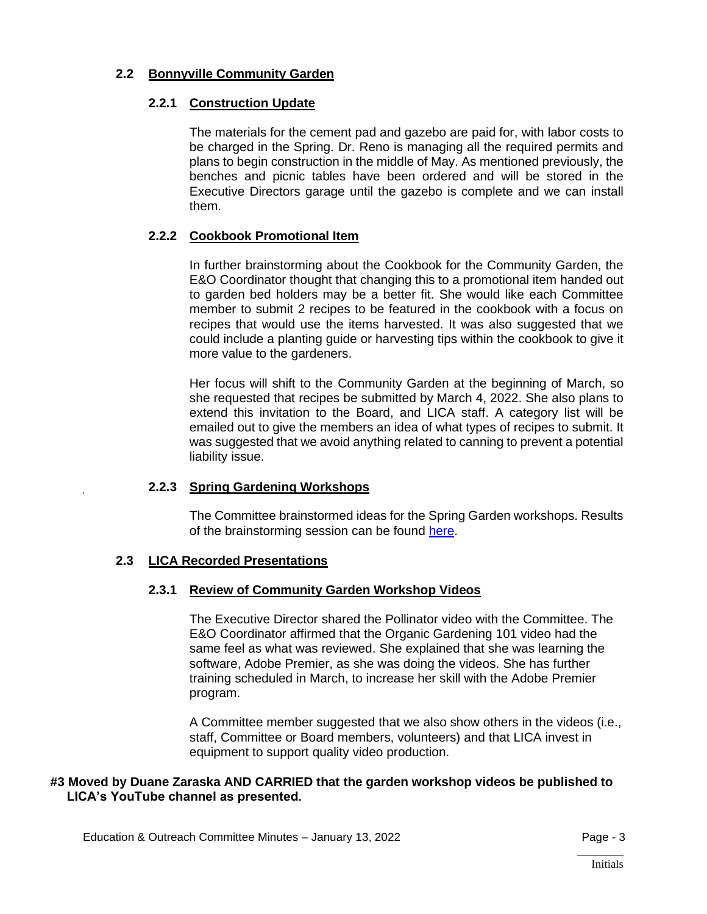# **2.2 Bonnyville Community Garden**

### **2.2.1 Construction Update**

The materials for the cement pad and gazebo are paid for, with labor costs to be charged in the Spring. Dr. Reno is managing all the required permits and plans to begin construction in the middle of May. As mentioned previously, the benches and picnic tables have been ordered and will be stored in the Executive Directors garage until the gazebo is complete and we can install them.

# **2.2.2 Cookbook Promotional Item**

In further brainstorming about the Cookbook for the Community Garden, the E&O Coordinator thought that changing this to a promotional item handed out to garden bed holders may be a better fit. She would like each Committee member to submit 2 recipes to be featured in the cookbook with a focus on recipes that would use the items harvested. It was also suggested that we could include a planting guide or harvesting tips within the cookbook to give it more value to the gardeners.

Her focus will shift to the Community Garden at the beginning of March, so she requested that recipes be submitted by March 4, 2022. She also plans to extend this invitation to the Board, and LICA staff. A category list will be emailed out to give the members an idea of what types of recipes to submit. It was suggested that we avoid anything related to canning to prevent a potential liability issue.

# **2.2.3 Spring Gardening Workshops**

The Committee brainstormed ideas for the Spring Garden workshops. Results of the brainstorming session can be found [here.](https://lica2.sharepoint.com/:w:/s/Office/EeiQDTKAP-dMmPmhad1usF4BQC1Ver_-mZF5kxWkNtM4oA?e=2gwXcW)

# **2.3 LICA Recorded Presentations**

# **2.3.1 Review of Community Garden Workshop Videos**

The Executive Director shared the Pollinator video with the Committee. The E&O Coordinator affirmed that the Organic Gardening 101 video had the same feel as what was reviewed. She explained that she was learning the software, Adobe Premier, as she was doing the videos. She has further training scheduled in March, to increase her skill with the Adobe Premier program.

A Committee member suggested that we also show others in the videos (i.e., staff, Committee or Board members, volunteers) and that LICA invest in equipment to support quality video production.

# **#3 Moved by Duane Zaraska AND CARRIED that the garden workshop videos be published to LICA's YouTube channel as presented.**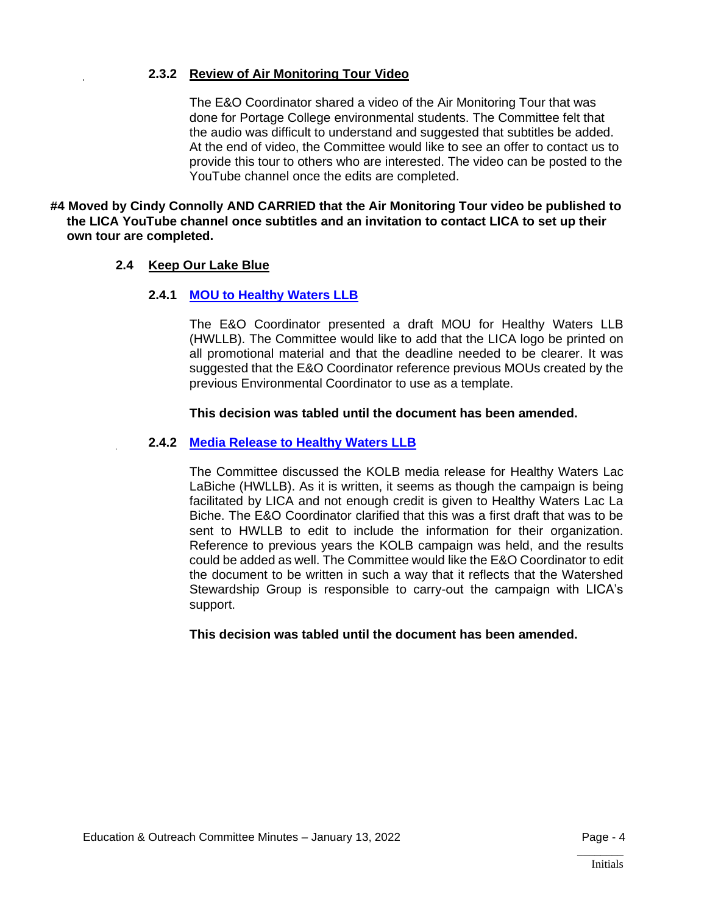#### **2.3.2 Review of Air Monitoring Tour Video**

The E&O Coordinator shared a video of the Air Monitoring Tour that was done for Portage College environmental students. The Committee felt that the audio was difficult to understand and suggested that subtitles be added. At the end of video, the Committee would like to see an offer to contact us to provide this tour to others who are interested. The video can be posted to the YouTube channel once the edits are completed.

**#4 Moved by Cindy Connolly AND CARRIED that the Air Monitoring Tour video be published to the LICA YouTube channel once subtitles and an invitation to contact LICA to set up their own tour are completed.**

#### **2.4 Keep Our Lake Blue**

#### **2.4.1 [MOU to Healthy Waters LLB](https://lica2.sharepoint.com/:b:/s/Office/EWo2c5ByNl9HnGRc78iR7soBYziMqcNrZYChkCm7SUvDDg?e=aojV7i)**

The E&O Coordinator presented a draft MOU for Healthy Waters LLB (HWLLB). The Committee would like to add that the LICA logo be printed on all promotional material and that the deadline needed to be clearer. It was suggested that the E&O Coordinator reference previous MOUs created by the previous Environmental Coordinator to use as a template.

#### **This decision was tabled until the document has been amended.**

#### **2.4.2 [Media Release to Healthy Waters LLB](https://lica2.sharepoint.com/:b:/s/Office/EdpMDOtmhaVJgrD1ORxnFngBmTUdePEOtK3cN_gVvh12rg?e=vMAFeQ)**

The Committee discussed the KOLB media release for Healthy Waters Lac LaBiche (HWLLB). As it is written, it seems as though the campaign is being facilitated by LICA and not enough credit is given to Healthy Waters Lac La Biche. The E&O Coordinator clarified that this was a first draft that was to be sent to HWLLB to edit to include the information for their organization. Reference to previous years the KOLB campaign was held, and the results could be added as well. The Committee would like the E&O Coordinator to edit the document to be written in such a way that it reflects that the Watershed Stewardship Group is responsible to carry-out the campaign with LICA's support.

#### **This decision was tabled until the document has been amended.**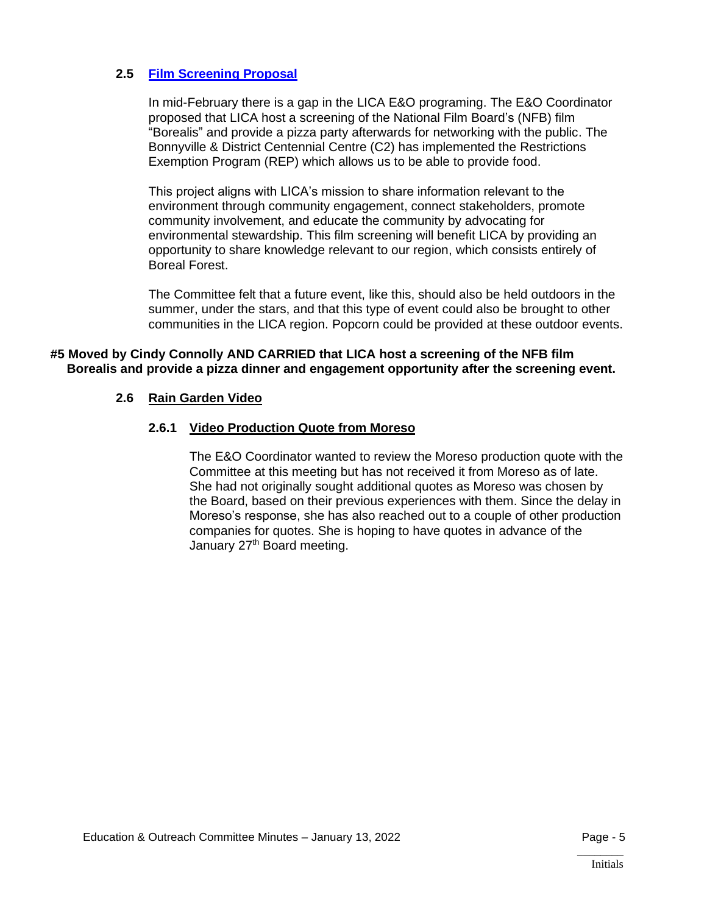#### **2.5 [Film Screening Proposal](https://lica2.sharepoint.com/:b:/s/Office/Eezm9cPKezNNreMevTyjRa0BXcOh06BANitMFj9KNSO0HA?e=43qMw0)**

In mid-February there is a gap in the LICA E&O programing. The E&O Coordinator proposed that LICA host a screening of the National Film Board's (NFB) film "Borealis" and provide a pizza party afterwards for networking with the public. The Bonnyville & District Centennial Centre (C2) has implemented the Restrictions Exemption Program (REP) which allows us to be able to provide food.

This project aligns with LICA's mission to share information relevant to the environment through community engagement, connect stakeholders, promote community involvement, and educate the community by advocating for environmental stewardship. This film screening will benefit LICA by providing an opportunity to share knowledge relevant to our region, which consists entirely of Boreal Forest.

The Committee felt that a future event, like this, should also be held outdoors in the summer, under the stars, and that this type of event could also be brought to other communities in the LICA region. Popcorn could be provided at these outdoor events.

### **#5 Moved by Cindy Connolly AND CARRIED that LICA host a screening of the NFB film Borealis and provide a pizza dinner and engagement opportunity after the screening event.**

#### **2.6 Rain Garden Video**

#### **2.6.1 Video Production Quote from Moreso**

The E&O Coordinator wanted to review the Moreso production quote with the Committee at this meeting but has not received it from Moreso as of late. She had not originally sought additional quotes as Moreso was chosen by the Board, based on their previous experiences with them. Since the delay in Moreso's response, she has also reached out to a couple of other production companies for quotes. She is hoping to have quotes in advance of the January 27<sup>th</sup> Board meeting.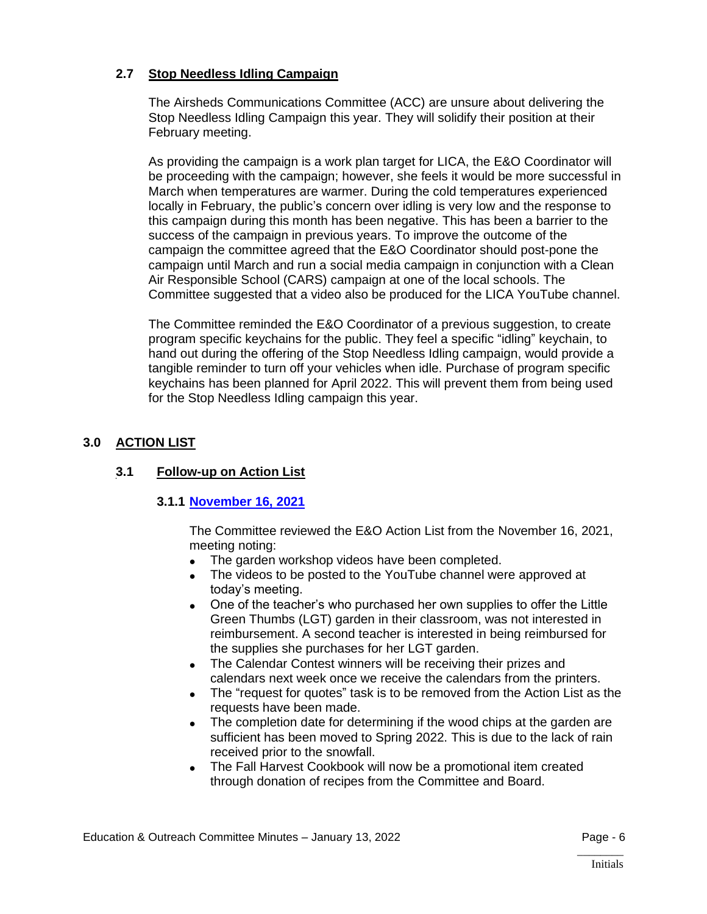# **2.7 Stop Needless Idling Campaign**

The Airsheds Communications Committee (ACC) are unsure about delivering the Stop Needless Idling Campaign this year. They will solidify their position at their February meeting.

As providing the campaign is a work plan target for LICA, the E&O Coordinator will be proceeding with the campaign; however, she feels it would be more successful in March when temperatures are warmer. During the cold temperatures experienced locally in February, the public's concern over idling is very low and the response to this campaign during this month has been negative. This has been a barrier to the success of the campaign in previous years. To improve the outcome of the campaign the committee agreed that the E&O Coordinator should post-pone the campaign until March and run a social media campaign in conjunction with a Clean Air Responsible School (CARS) campaign at one of the local schools. The Committee suggested that a video also be produced for the LICA YouTube channel.

The Committee reminded the E&O Coordinator of a previous suggestion, to create program specific keychains for the public. They feel a specific "idling" keychain, to hand out during the offering of the Stop Needless Idling campaign, would provide a tangible reminder to turn off your vehicles when idle. Purchase of program specific keychains has been planned for April 2022. This will prevent them from being used for the Stop Needless Idling campaign this year.

# **3.0 ACTION LIST**

# **3.1 Follow-up on Action List**

#### **3.1.1 [November 16, 2021](https://lica2.sharepoint.com/:b:/s/Office/Ebz2Ynntmh5HgdUOFLBh6zYBWshOLvfyTRDoBXV000G0pw?e=wX6UKE)**

The Committee reviewed the E&O Action List from the November 16, 2021, meeting noting:

- The garden workshop videos have been completed.
- The videos to be posted to the YouTube channel were approved at today's meeting.
- One of the teacher's who purchased her own supplies to offer the Little Green Thumbs (LGT) garden in their classroom, was not interested in reimbursement. A second teacher is interested in being reimbursed for the supplies she purchases for her LGT garden.
- The Calendar Contest winners will be receiving their prizes and calendars next week once we receive the calendars from the printers.
- The "request for quotes" task is to be removed from the Action List as the requests have been made.
- The completion date for determining if the wood chips at the garden are sufficient has been moved to Spring 2022. This is due to the lack of rain received prior to the snowfall.
- The Fall Harvest Cookbook will now be a promotional item created through donation of recipes from the Committee and Board.